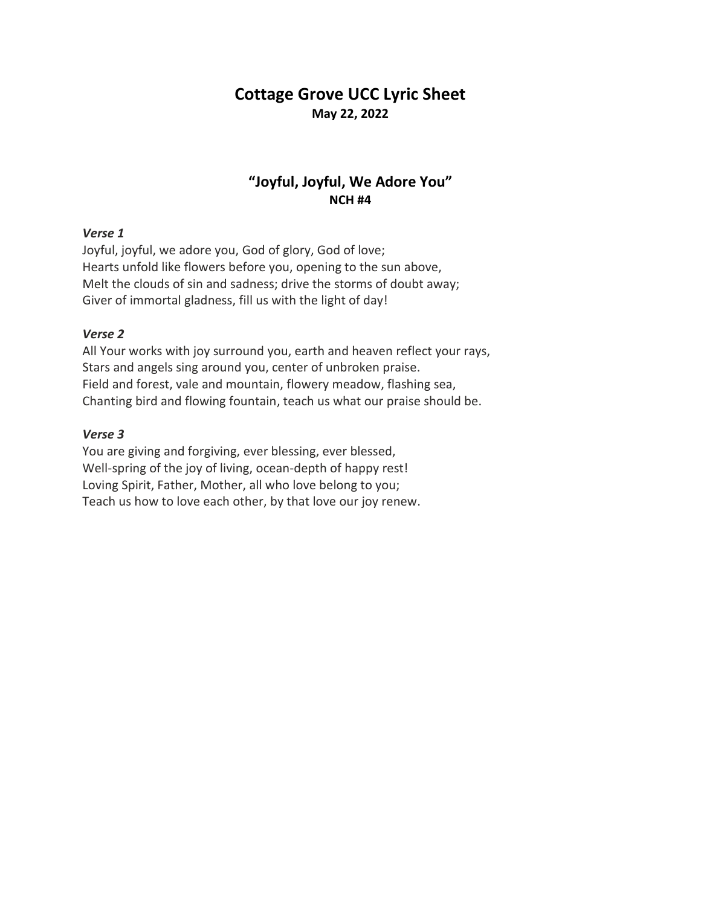# **Cottage Grove UCC Lyric Sheet May 22, 2022**

# **"Joyful, Joyful, We Adore You" NCH #4**

### *Verse 1*

Joyful, joyful, we adore you, God of glory, God of love; Hearts unfold like flowers before you, opening to the sun above, Melt the clouds of sin and sadness; drive the storms of doubt away; Giver of immortal gladness, fill us with the light of day!

## *Verse 2*

All Your works with joy surround you, earth and heaven reflect your rays, Stars and angels sing around you, center of unbroken praise. Field and forest, vale and mountain, flowery meadow, flashing sea, Chanting bird and flowing fountain, teach us what our praise should be.

## *Verse 3*

You are giving and forgiving, ever blessing, ever blessed, Well-spring of the joy of living, ocean-depth of happy rest! Loving Spirit, Father, Mother, all who love belong to you; Teach us how to love each other, by that love our joy renew.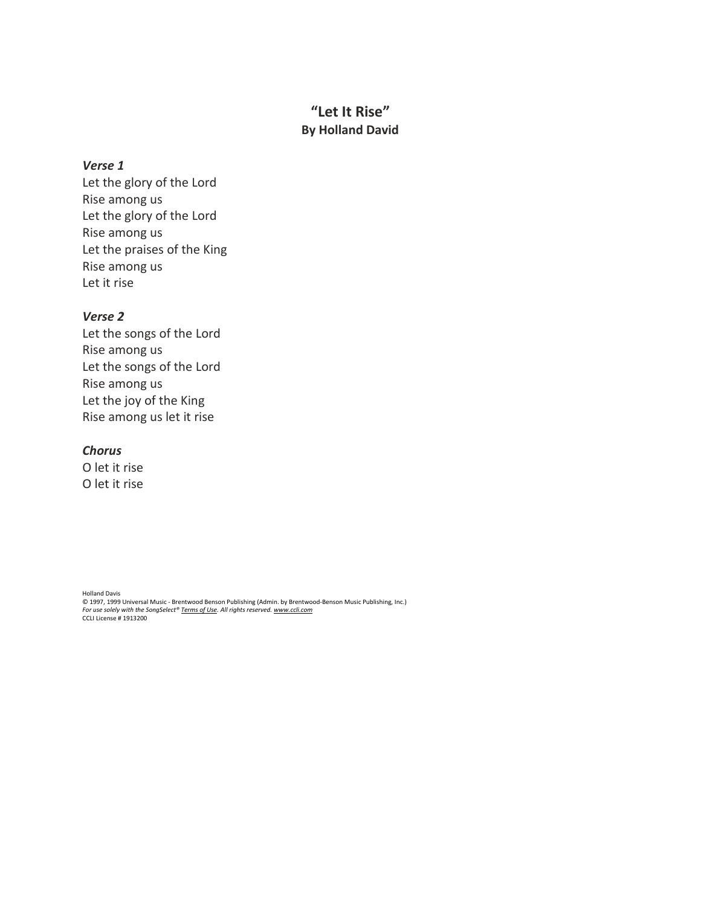## **"Let It Rise" By Holland David**

## *Verse 1*

Let the glory of the Lord Rise among us Let the glory of the Lord Rise among us Let the praises of the King Rise among us Let it rise

### *Verse 2*

Let the songs of the Lord Rise among us Let the songs of the Lord Rise among us Let the joy of the King Rise among us let it rise

#### *Chorus*

O let it rise O let it rise

Holland Davis © 1997, 1999 Universal Music - Brentwood Benson Publishing (Admin. by Brentwood-Benson Music Publishing, Inc.) *For use solely with the SongSelect® [Terms of Use.](https://songselect.ccli.com/about/termsofuse) All rights reserved. [www.ccli.com](http://www.ccli.com/)* CCLI License # 1913200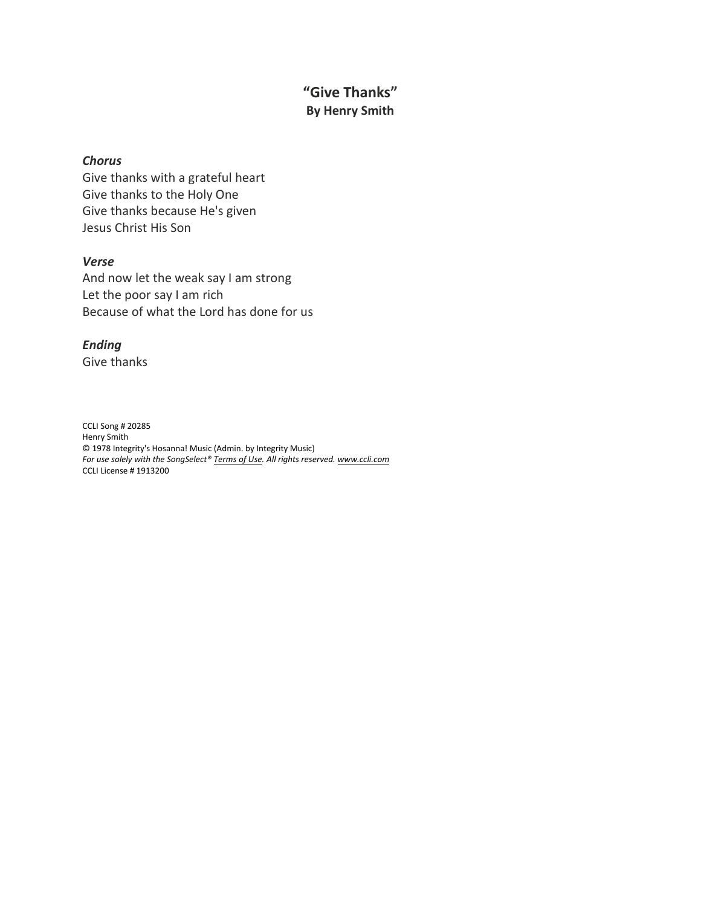# **"Give Thanks" By Henry Smith**

#### *Chorus*

Give thanks with a grateful heart Give thanks to the Holy One Give thanks because He's given Jesus Christ His Son

### *Verse*

And now let the weak say I am strong Let the poor say I am rich Because of what the Lord has done for us

### *Ending*

Give thanks

CCLI Song # 20285 Henry Smith © 1978 Integrity's Hosanna! Music (Admin. by Integrity Music) *For use solely with the SongSelect® [Terms of Use.](https://songselect.ccli.com/about/termsofuse) All rights reserved. [www.ccli.com](http://www.ccli.com/)* CCLI License # 1913200